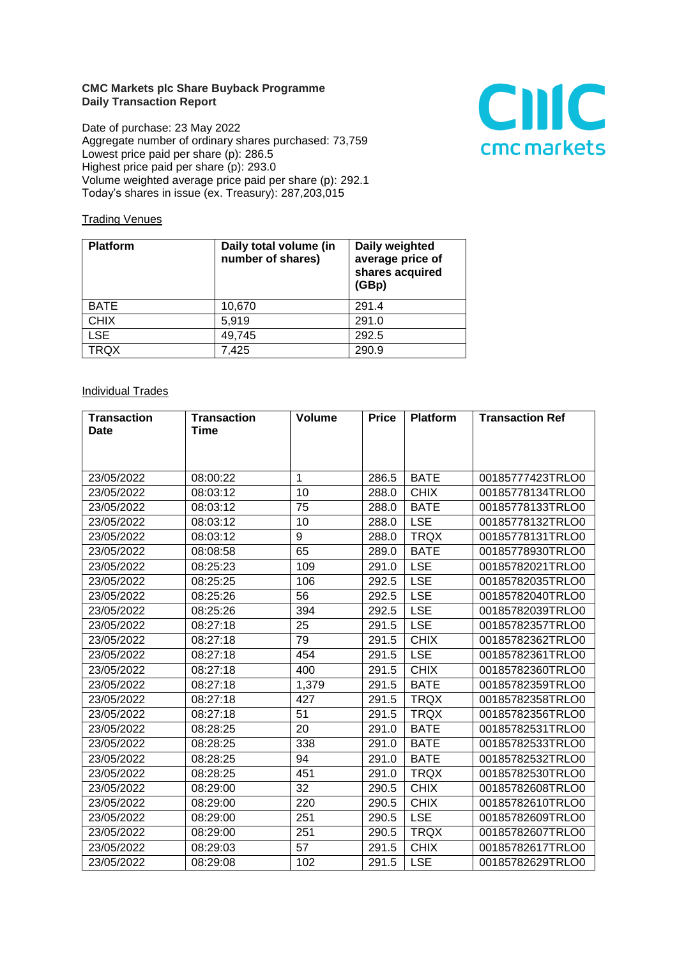## **CMC Markets plc Share Buyback Programme Daily Transaction Report**

Date of purchase: 23 May 2022 Aggregate number of ordinary shares purchased: 73,759 Lowest price paid per share (p): 286.5 Highest price paid per share (p): 293.0 Volume weighted average price paid per share (p): 292.1 Today's shares in issue (ex. Treasury): 287,203,015



## **Trading Venues**

| <b>Platform</b> | Daily total volume (in<br>number of shares) | Daily weighted<br>average price of<br>shares acquired<br>(GBp) |
|-----------------|---------------------------------------------|----------------------------------------------------------------|
| <b>BATE</b>     | 10,670                                      | 291.4                                                          |
| <b>CHIX</b>     | 5,919                                       | 291.0                                                          |
| <b>LSE</b>      | 49,745                                      | 292.5                                                          |
| TRQX            | 7,425                                       | 290.9                                                          |

## **Individual Trades**

| <b>Transaction</b> | <b>Transaction</b> | <b>Volume</b> | <b>Price</b> | <b>Platform</b> | <b>Transaction Ref</b> |
|--------------------|--------------------|---------------|--------------|-----------------|------------------------|
| Date               | Time               |               |              |                 |                        |
|                    |                    |               |              |                 |                        |
|                    |                    |               |              |                 |                        |
| 23/05/2022         | 08:00:22           | 1             | 286.5        | <b>BATE</b>     | 00185777423TRLO0       |
| 23/05/2022         | 08:03:12           | 10            | 288.0        | <b>CHIX</b>     | 00185778134TRLO0       |
| 23/05/2022         | 08:03:12           | 75            | 288.0        | <b>BATE</b>     | 00185778133TRLO0       |
| 23/05/2022         | 08:03:12           | 10            | 288.0        | <b>LSE</b>      | 00185778132TRLO0       |
| 23/05/2022         | 08:03:12           | 9             | 288.0        | <b>TRQX</b>     | 00185778131TRLO0       |
| 23/05/2022         | 08:08:58           | 65            | 289.0        | <b>BATE</b>     | 00185778930TRLO0       |
| 23/05/2022         | 08:25:23           | 109           | 291.0        | <b>LSE</b>      | 00185782021TRLO0       |
| 23/05/2022         | 08:25:25           | 106           | 292.5        | <b>LSE</b>      | 00185782035TRLO0       |
| 23/05/2022         | 08:25:26           | 56            | 292.5        | <b>LSE</b>      | 00185782040TRLO0       |
| 23/05/2022         | 08:25:26           | 394           | 292.5        | <b>LSE</b>      | 00185782039TRLO0       |
| 23/05/2022         | 08:27:18           | 25            | 291.5        | <b>LSE</b>      | 00185782357TRLO0       |
| 23/05/2022         | 08:27:18           | 79            | 291.5        | <b>CHIX</b>     | 00185782362TRLO0       |
| 23/05/2022         | 08:27:18           | 454           | 291.5        | <b>LSE</b>      | 00185782361TRLO0       |
| 23/05/2022         | 08:27:18           | 400           | 291.5        | <b>CHIX</b>     | 00185782360TRLO0       |
| 23/05/2022         | 08:27:18           | 1,379         | 291.5        | <b>BATE</b>     | 00185782359TRLO0       |
| 23/05/2022         | 08:27:18           | 427           | 291.5        | <b>TRQX</b>     | 00185782358TRLO0       |
| 23/05/2022         | 08:27:18           | 51            | 291.5        | <b>TRQX</b>     | 00185782356TRLO0       |
| 23/05/2022         | 08:28:25           | 20            | 291.0        | <b>BATE</b>     | 00185782531TRLO0       |
| 23/05/2022         | 08:28:25           | 338           | 291.0        | <b>BATE</b>     | 00185782533TRLO0       |
| 23/05/2022         | 08:28:25           | 94            | 291.0        | <b>BATE</b>     | 00185782532TRLO0       |
| 23/05/2022         | 08:28:25           | 451           | 291.0        | <b>TRQX</b>     | 00185782530TRLO0       |
| 23/05/2022         | 08:29:00           | 32            | 290.5        | <b>CHIX</b>     | 00185782608TRLO0       |
| 23/05/2022         | 08:29:00           | 220           | 290.5        | <b>CHIX</b>     | 00185782610TRLO0       |
| 23/05/2022         | 08:29:00           | 251           | 290.5        | <b>LSE</b>      | 00185782609TRLO0       |
| 23/05/2022         | 08:29:00           | 251           | 290.5        | <b>TRQX</b>     | 00185782607TRLO0       |
| 23/05/2022         | 08:29:03           | 57            | 291.5        | <b>CHIX</b>     | 00185782617TRLO0       |
| 23/05/2022         | 08:29:08           | 102           | 291.5        | <b>LSE</b>      | 00185782629TRLO0       |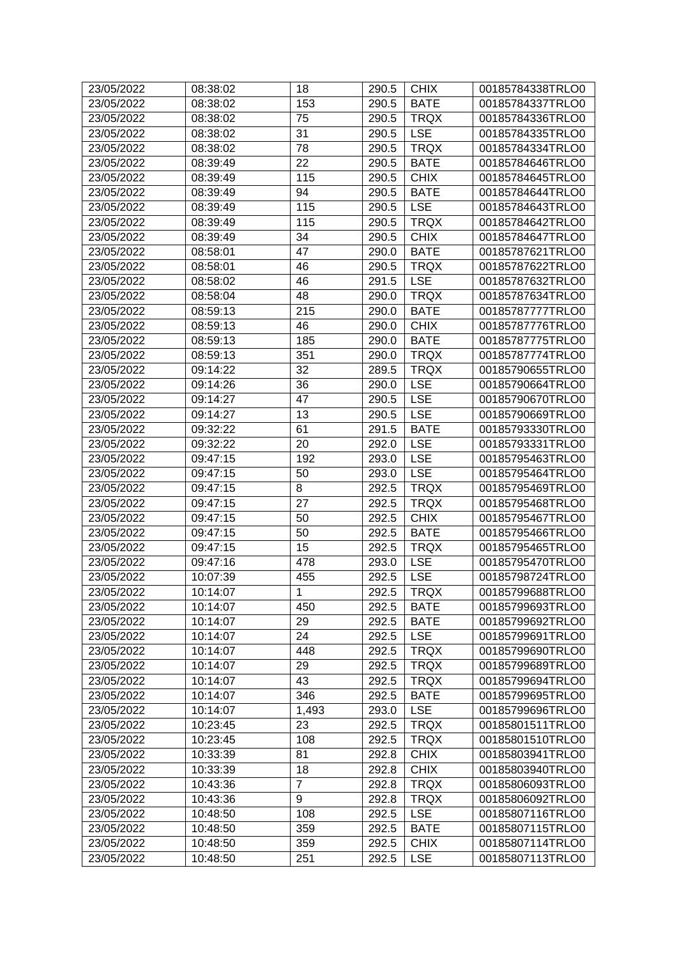| 23/05/2022 | 08:38:02 | 18             | 290.5 | <b>CHIX</b> | 00185784338TRLO0 |
|------------|----------|----------------|-------|-------------|------------------|
| 23/05/2022 | 08:38:02 | 153            | 290.5 | <b>BATE</b> | 00185784337TRLO0 |
| 23/05/2022 | 08:38:02 | 75             | 290.5 | <b>TRQX</b> | 00185784336TRLO0 |
| 23/05/2022 | 08:38:02 | 31             | 290.5 | <b>LSE</b>  | 00185784335TRLO0 |
| 23/05/2022 | 08:38:02 | 78             | 290.5 | <b>TRQX</b> | 00185784334TRLO0 |
| 23/05/2022 | 08:39:49 | 22             | 290.5 | <b>BATE</b> | 00185784646TRLO0 |
| 23/05/2022 | 08:39:49 | 115            | 290.5 | <b>CHIX</b> | 00185784645TRLO0 |
| 23/05/2022 | 08:39:49 | 94             | 290.5 | <b>BATE</b> | 00185784644TRLO0 |
| 23/05/2022 | 08:39:49 | 115            | 290.5 | <b>LSE</b>  | 00185784643TRLO0 |
| 23/05/2022 | 08:39:49 | 115            | 290.5 | <b>TRQX</b> | 00185784642TRLO0 |
| 23/05/2022 | 08:39:49 | 34             | 290.5 | <b>CHIX</b> | 00185784647TRLO0 |
| 23/05/2022 | 08:58:01 | 47             | 290.0 | <b>BATE</b> | 00185787621TRLO0 |
| 23/05/2022 | 08:58:01 | 46             | 290.5 | <b>TRQX</b> | 00185787622TRLO0 |
| 23/05/2022 | 08:58:02 | 46             | 291.5 | <b>LSE</b>  | 00185787632TRLO0 |
| 23/05/2022 | 08:58:04 | 48             | 290.0 | <b>TRQX</b> | 00185787634TRLO0 |
| 23/05/2022 | 08:59:13 | 215            | 290.0 | <b>BATE</b> | 00185787777TRLO0 |
| 23/05/2022 | 08:59:13 | 46             | 290.0 | <b>CHIX</b> | 00185787776TRLO0 |
| 23/05/2022 | 08:59:13 | 185            | 290.0 | <b>BATE</b> | 00185787775TRLO0 |
| 23/05/2022 | 08:59:13 | 351            | 290.0 | <b>TRQX</b> | 00185787774TRLO0 |
| 23/05/2022 | 09:14:22 | 32             | 289.5 | <b>TRQX</b> | 00185790655TRLO0 |
| 23/05/2022 | 09:14:26 | 36             | 290.0 | <b>LSE</b>  | 00185790664TRLO0 |
| 23/05/2022 | 09:14:27 | 47             | 290.5 | <b>LSE</b>  | 00185790670TRLO0 |
| 23/05/2022 | 09:14:27 | 13             | 290.5 | <b>LSE</b>  | 00185790669TRLO0 |
| 23/05/2022 | 09:32:22 | 61             | 291.5 | <b>BATE</b> | 00185793330TRLO0 |
| 23/05/2022 | 09:32:22 | 20             | 292.0 | <b>LSE</b>  | 00185793331TRLO0 |
| 23/05/2022 | 09:47:15 | 192            | 293.0 | <b>LSE</b>  | 00185795463TRLO0 |
| 23/05/2022 | 09:47:15 | 50             | 293.0 | <b>LSE</b>  | 00185795464TRLO0 |
| 23/05/2022 | 09:47:15 | 8              | 292.5 | <b>TRQX</b> | 00185795469TRLO0 |
| 23/05/2022 | 09:47:15 | 27             | 292.5 | <b>TRQX</b> | 00185795468TRLO0 |
| 23/05/2022 | 09:47:15 | 50             | 292.5 | <b>CHIX</b> | 00185795467TRLO0 |
| 23/05/2022 | 09:47:15 | 50             | 292.5 | <b>BATE</b> | 00185795466TRLO0 |
| 23/05/2022 | 09:47:15 | 15             | 292.5 | <b>TRQX</b> | 00185795465TRLO0 |
| 23/05/2022 | 09:47:16 | 478            | 293.0 | <b>LSE</b>  | 00185795470TRLO0 |
| 23/05/2022 | 10:07:39 | 455            | 292.5 | <b>LSE</b>  | 00185798724TRLO0 |
| 23/05/2022 |          | $\mathbf{1}$   |       | <b>TRQX</b> |                  |
|            | 10:14:07 |                | 292.5 |             | 00185799688TRLO0 |
| 23/05/2022 | 10:14:07 | 450            | 292.5 | <b>BATE</b> | 00185799693TRLO0 |
| 23/05/2022 | 10:14:07 | 29             | 292.5 | <b>BATE</b> | 00185799692TRLO0 |
| 23/05/2022 | 10:14:07 | 24             | 292.5 | <b>LSE</b>  | 00185799691TRLO0 |
| 23/05/2022 | 10:14:07 | 448            | 292.5 | <b>TRQX</b> | 00185799690TRLO0 |
| 23/05/2022 | 10:14:07 | 29             | 292.5 | <b>TRQX</b> | 00185799689TRLO0 |
| 23/05/2022 | 10:14:07 | 43             | 292.5 | <b>TRQX</b> | 00185799694TRLO0 |
| 23/05/2022 | 10:14:07 | 346            | 292.5 | <b>BATE</b> | 00185799695TRLO0 |
| 23/05/2022 | 10:14:07 | 1,493          | 293.0 | <b>LSE</b>  | 00185799696TRLO0 |
| 23/05/2022 | 10:23:45 | 23             | 292.5 | <b>TRQX</b> | 00185801511TRLO0 |
| 23/05/2022 | 10:23:45 | 108            | 292.5 | <b>TRQX</b> | 00185801510TRLO0 |
| 23/05/2022 | 10:33:39 | 81             | 292.8 | <b>CHIX</b> | 00185803941TRLO0 |
| 23/05/2022 | 10:33:39 | 18             | 292.8 | <b>CHIX</b> | 00185803940TRLO0 |
| 23/05/2022 | 10:43:36 | $\overline{7}$ | 292.8 | <b>TRQX</b> | 00185806093TRLO0 |
| 23/05/2022 | 10:43:36 | 9              | 292.8 | <b>TRQX</b> | 00185806092TRLO0 |
| 23/05/2022 | 10:48:50 | 108            | 292.5 | <b>LSE</b>  | 00185807116TRLO0 |
| 23/05/2022 | 10:48:50 | 359            | 292.5 | <b>BATE</b> | 00185807115TRLO0 |
| 23/05/2022 | 10:48:50 | 359            | 292.5 | <b>CHIX</b> | 00185807114TRLO0 |
| 23/05/2022 | 10:48:50 | 251            | 292.5 | <b>LSE</b>  | 00185807113TRLO0 |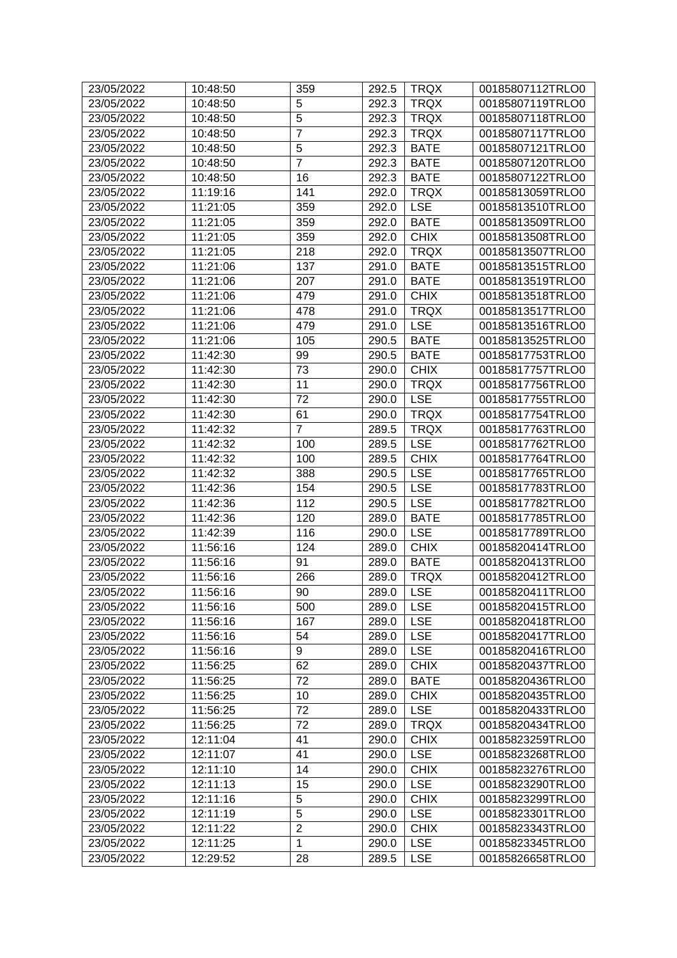| 23/05/2022 | 10:48:50 | 359            | 292.5 | <b>TRQX</b> | 00185807112TRLO0 |
|------------|----------|----------------|-------|-------------|------------------|
| 23/05/2022 | 10:48:50 | 5              | 292.3 | <b>TRQX</b> | 00185807119TRLO0 |
| 23/05/2022 | 10:48:50 | 5              | 292.3 | <b>TRQX</b> | 00185807118TRLO0 |
| 23/05/2022 | 10:48:50 | $\overline{7}$ | 292.3 | <b>TRQX</b> | 00185807117TRLO0 |
| 23/05/2022 | 10:48:50 | 5              | 292.3 | <b>BATE</b> | 00185807121TRLO0 |
| 23/05/2022 | 10:48:50 | $\overline{7}$ | 292.3 | <b>BATE</b> | 00185807120TRLO0 |
| 23/05/2022 | 10:48:50 | 16             | 292.3 | <b>BATE</b> | 00185807122TRLO0 |
| 23/05/2022 | 11:19:16 | 141            | 292.0 | <b>TRQX</b> | 00185813059TRLO0 |
| 23/05/2022 | 11:21:05 | 359            | 292.0 | <b>LSE</b>  | 00185813510TRLO0 |
| 23/05/2022 | 11:21:05 | 359            | 292.0 | <b>BATE</b> | 00185813509TRLO0 |
| 23/05/2022 | 11:21:05 | 359            | 292.0 | <b>CHIX</b> | 00185813508TRLO0 |
| 23/05/2022 | 11:21:05 | 218            | 292.0 | <b>TRQX</b> | 00185813507TRLO0 |
| 23/05/2022 | 11:21:06 | 137            | 291.0 | <b>BATE</b> | 00185813515TRLO0 |
| 23/05/2022 | 11:21:06 | 207            | 291.0 | <b>BATE</b> | 00185813519TRLO0 |
| 23/05/2022 | 11:21:06 | 479            | 291.0 | <b>CHIX</b> | 00185813518TRLO0 |
| 23/05/2022 | 11:21:06 | 478            | 291.0 | <b>TRQX</b> | 00185813517TRLO0 |
| 23/05/2022 | 11:21:06 | 479            | 291.0 | <b>LSE</b>  | 00185813516TRLO0 |
| 23/05/2022 | 11:21:06 | 105            | 290.5 | <b>BATE</b> | 00185813525TRLO0 |
| 23/05/2022 | 11:42:30 | 99             | 290.5 | <b>BATE</b> | 00185817753TRLO0 |
| 23/05/2022 | 11:42:30 | 73             | 290.0 | <b>CHIX</b> | 00185817757TRLO0 |
| 23/05/2022 | 11:42:30 | 11             | 290.0 | <b>TRQX</b> | 00185817756TRLO0 |
| 23/05/2022 | 11:42:30 | 72             | 290.0 | <b>LSE</b>  | 00185817755TRLO0 |
| 23/05/2022 | 11:42:30 | 61             | 290.0 | <b>TRQX</b> | 00185817754TRLO0 |
| 23/05/2022 | 11:42:32 | $\overline{7}$ | 289.5 | <b>TRQX</b> | 00185817763TRLO0 |
| 23/05/2022 | 11:42:32 | 100            | 289.5 | <b>LSE</b>  | 00185817762TRLO0 |
| 23/05/2022 | 11:42:32 | 100            | 289.5 | <b>CHIX</b> | 00185817764TRLO0 |
| 23/05/2022 | 11:42:32 | 388            | 290.5 | <b>LSE</b>  | 00185817765TRLO0 |
| 23/05/2022 | 11:42:36 | 154            | 290.5 | <b>LSE</b>  | 00185817783TRLO0 |
| 23/05/2022 | 11:42:36 | 112            | 290.5 | <b>LSE</b>  | 00185817782TRLO0 |
| 23/05/2022 | 11:42:36 | 120            | 289.0 | <b>BATE</b> | 00185817785TRLO0 |
| 23/05/2022 | 11:42:39 | 116            | 290.0 | <b>LSE</b>  | 00185817789TRLO0 |
| 23/05/2022 | 11:56:16 | 124            | 289.0 | <b>CHIX</b> | 00185820414TRLO0 |
| 23/05/2022 | 11:56:16 | 91             | 289.0 | <b>BATE</b> | 00185820413TRLO0 |
| 23/05/2022 | 11:56:16 | 266            | 289.0 | <b>TRQX</b> | 00185820412TRLO0 |
| 23/05/2022 | 11:56:16 | 90             | 289.0 | <b>LSE</b>  | 00185820411TRLO0 |
| 23/05/2022 | 11:56:16 | 500            | 289.0 | <b>LSE</b>  | 00185820415TRLO0 |
| 23/05/2022 | 11:56:16 | 167            | 289.0 | <b>LSE</b>  | 00185820418TRLO0 |
| 23/05/2022 | 11:56:16 | 54             | 289.0 | <b>LSE</b>  | 00185820417TRLO0 |
| 23/05/2022 | 11:56:16 | 9              | 289.0 | <b>LSE</b>  | 00185820416TRLO0 |
| 23/05/2022 | 11:56:25 | 62             | 289.0 | <b>CHIX</b> | 00185820437TRLO0 |
| 23/05/2022 | 11:56:25 | 72             | 289.0 | <b>BATE</b> | 00185820436TRLO0 |
| 23/05/2022 | 11:56:25 | 10             | 289.0 | <b>CHIX</b> | 00185820435TRLO0 |
| 23/05/2022 | 11:56:25 | 72             | 289.0 | <b>LSE</b>  | 00185820433TRLO0 |
| 23/05/2022 | 11:56:25 | 72             | 289.0 | <b>TRQX</b> | 00185820434TRLO0 |
| 23/05/2022 | 12:11:04 | 41             | 290.0 | <b>CHIX</b> | 00185823259TRLO0 |
| 23/05/2022 | 12:11:07 | 41             | 290.0 | <b>LSE</b>  | 00185823268TRLO0 |
| 23/05/2022 | 12:11:10 | 14             | 290.0 | <b>CHIX</b> | 00185823276TRLO0 |
| 23/05/2022 | 12:11:13 | 15             | 290.0 | <b>LSE</b>  | 00185823290TRLO0 |
| 23/05/2022 | 12:11:16 | 5              | 290.0 | <b>CHIX</b> | 00185823299TRLO0 |
| 23/05/2022 | 12:11:19 | 5              | 290.0 | <b>LSE</b>  | 00185823301TRLO0 |
| 23/05/2022 | 12:11:22 | $\overline{2}$ | 290.0 | <b>CHIX</b> | 00185823343TRLO0 |
| 23/05/2022 | 12:11:25 | $\mathbf{1}$   | 290.0 | <b>LSE</b>  | 00185823345TRLO0 |
| 23/05/2022 | 12:29:52 | 28             | 289.5 | <b>LSE</b>  | 00185826658TRLO0 |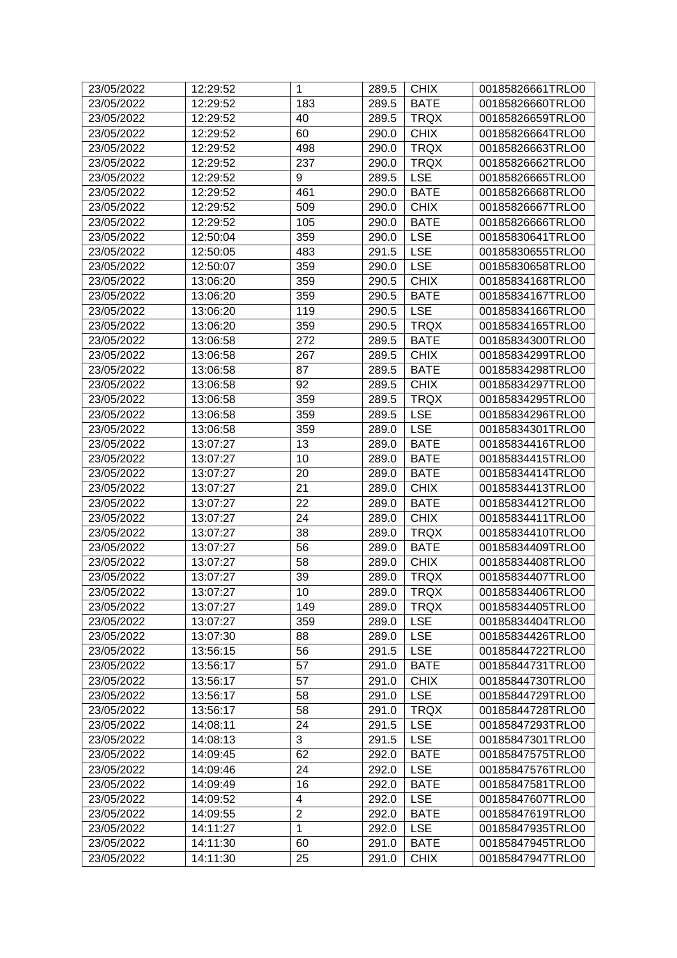| 23/05/2022 | 12:29:52             | $\mathbf{1}$   | 289.5 | <b>CHIX</b> | 00185826661TRLO0 |
|------------|----------------------|----------------|-------|-------------|------------------|
| 23/05/2022 | 12:29:52             | 183            | 289.5 | <b>BATE</b> | 00185826660TRLO0 |
| 23/05/2022 | 12:29:52             | 40             | 289.5 | <b>TRQX</b> | 00185826659TRLO0 |
| 23/05/2022 | 12:29:52             | 60             | 290.0 | <b>CHIX</b> | 00185826664TRLO0 |
| 23/05/2022 | 12:29:52             | 498            | 290.0 | <b>TRQX</b> | 00185826663TRLO0 |
| 23/05/2022 | 12:29:52             | 237            | 290.0 | <b>TRQX</b> | 00185826662TRLO0 |
| 23/05/2022 | 12:29:52             | 9              | 289.5 | <b>LSE</b>  | 00185826665TRLO0 |
| 23/05/2022 | 12:29:52             | 461            | 290.0 | <b>BATE</b> | 00185826668TRLO0 |
| 23/05/2022 | 12:29:52             | 509            | 290.0 | <b>CHIX</b> | 00185826667TRLO0 |
| 23/05/2022 | 12:29:52             | 105            | 290.0 | <b>BATE</b> | 00185826666TRLO0 |
| 23/05/2022 | 12:50:04             | 359            | 290.0 | <b>LSE</b>  | 00185830641TRLO0 |
| 23/05/2022 | 12:50:05             | 483            | 291.5 | <b>LSE</b>  | 00185830655TRLO0 |
| 23/05/2022 | 12:50:07             | 359            | 290.0 | <b>LSE</b>  | 00185830658TRLO0 |
| 23/05/2022 | 13:06:20             | 359            | 290.5 | <b>CHIX</b> | 00185834168TRLO0 |
| 23/05/2022 | 13:06:20             | 359            | 290.5 | <b>BATE</b> | 00185834167TRLO0 |
| 23/05/2022 | 13:06:20             | 119            | 290.5 | <b>LSE</b>  | 00185834166TRLO0 |
| 23/05/2022 | 13:06:20             | 359            | 290.5 | <b>TRQX</b> | 00185834165TRLO0 |
| 23/05/2022 | 13:06:58             | 272            | 289.5 | <b>BATE</b> | 00185834300TRLO0 |
| 23/05/2022 | 13:06:58             | 267            | 289.5 | <b>CHIX</b> | 00185834299TRLO0 |
| 23/05/2022 | 13:06:58             | 87             | 289.5 | <b>BATE</b> | 00185834298TRLO0 |
| 23/05/2022 | 13:06:58             | 92             | 289.5 | <b>CHIX</b> | 00185834297TRLO0 |
| 23/05/2022 | 13:06:58             | 359            | 289.5 | <b>TRQX</b> | 00185834295TRLO0 |
| 23/05/2022 | 13:06:58             | 359            | 289.5 | <b>LSE</b>  | 00185834296TRLO0 |
| 23/05/2022 | 13:06:58             | 359            | 289.0 | <b>LSE</b>  | 00185834301TRLO0 |
| 23/05/2022 | 13:07:27             | 13             | 289.0 | <b>BATE</b> | 00185834416TRLO0 |
| 23/05/2022 | 13:07:27             | 10             | 289.0 | <b>BATE</b> | 00185834415TRLO0 |
| 23/05/2022 | 13:07:27             | 20             | 289.0 | <b>BATE</b> | 00185834414TRLO0 |
| 23/05/2022 | 13:07:27             | 21             | 289.0 | <b>CHIX</b> | 00185834413TRLO0 |
| 23/05/2022 | 13:07:27             | 22             | 289.0 | <b>BATE</b> | 00185834412TRLO0 |
| 23/05/2022 | 13:07:27             | 24             | 289.0 | <b>CHIX</b> | 00185834411TRLO0 |
| 23/05/2022 | 13:07:27             | 38             | 289.0 | <b>TRQX</b> | 00185834410TRLO0 |
| 23/05/2022 | 13:07:27             | 56             | 289.0 | <b>BATE</b> | 00185834409TRLO0 |
| 23/05/2022 | 13:07:27             | 58             | 289.0 | <b>CHIX</b> | 00185834408TRLO0 |
| 23/05/2022 | 13:07:27             | 39             | 289.0 | <b>TRQX</b> | 00185834407TRLO0 |
| 23/05/2022 | 13:07:27             | 10             | 289.0 | <b>TRQX</b> | 00185834406TRLO0 |
| 23/05/2022 | 13:07:27             | 149            | 289.0 | <b>TRQX</b> | 00185834405TRLO0 |
| 23/05/2022 | 13:07:27             | 359            | 289.0 | <b>LSE</b>  | 00185834404TRLO0 |
| 23/05/2022 | 13:07:30             | 88             | 289.0 | <b>LSE</b>  | 00185834426TRLO0 |
| 23/05/2022 | 13:56:15             | 56             | 291.5 | <b>LSE</b>  | 00185844722TRLO0 |
| 23/05/2022 | 13:56:17             | 57             | 291.0 | <b>BATE</b> | 00185844731TRLO0 |
| 23/05/2022 | 13:56:17             | 57             | 291.0 | <b>CHIX</b> | 00185844730TRLO0 |
| 23/05/2022 | 13:56:17             | 58             | 291.0 | <b>LSE</b>  | 00185844729TRLO0 |
| 23/05/2022 |                      | 58             | 291.0 | <b>TRQX</b> | 00185844728TRLO0 |
| 23/05/2022 | 13:56:17<br>14:08:11 | 24             |       | <b>LSE</b>  |                  |
|            |                      | 3              | 291.5 | <b>LSE</b>  | 00185847293TRLO0 |
| 23/05/2022 | 14:08:13             | 62             | 291.5 |             | 00185847301TRLO0 |
| 23/05/2022 | 14:09:45             |                | 292.0 | <b>BATE</b> | 00185847575TRLO0 |
| 23/05/2022 | 14:09:46             | 24             | 292.0 | <b>LSE</b>  | 00185847576TRLO0 |
| 23/05/2022 | 14:09:49             | 16             | 292.0 | <b>BATE</b> | 00185847581TRLO0 |
| 23/05/2022 | 14:09:52             | 4              | 292.0 | <b>LSE</b>  | 00185847607TRLO0 |
| 23/05/2022 | 14:09:55             | $\overline{c}$ | 292.0 | <b>BATE</b> | 00185847619TRLO0 |
| 23/05/2022 | 14:11:27             | $\mathbf{1}$   | 292.0 | <b>LSE</b>  | 00185847935TRLO0 |
| 23/05/2022 | 14:11:30             | 60             | 291.0 | <b>BATE</b> | 00185847945TRLO0 |
| 23/05/2022 | 14:11:30             | 25             | 291.0 | <b>CHIX</b> | 00185847947TRLO0 |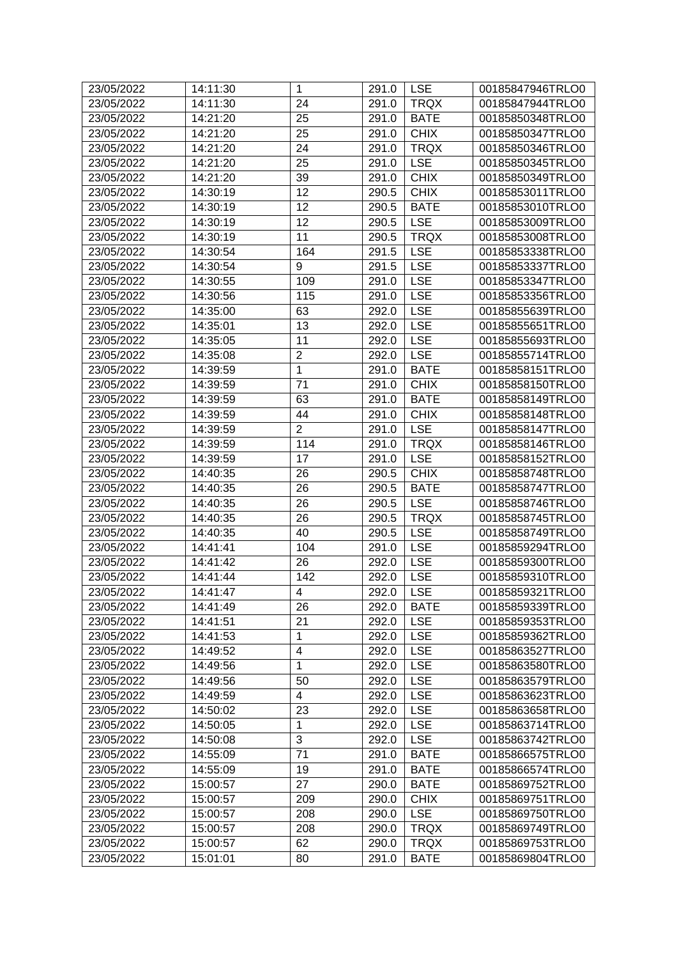| 24<br><b>TRQX</b><br>00185847944TRLO0<br>23/05/2022<br>14:11:30<br>291.0<br>25<br><b>BATE</b><br>00185850348TRLO0<br>23/05/2022<br>14:21:20<br>291.0<br>25<br>23/05/2022<br>14:21:20<br>291.0<br><b>CHIX</b><br>00185850347TRLO0<br>24<br><b>TRQX</b><br>23/05/2022<br>14:21:20<br>291.0<br>00185850346TRLO0<br>25<br><b>LSE</b><br>23/05/2022<br>14:21:20<br>291.0<br>00185850345TRLO0<br>14:21:20<br>39<br><b>CHIX</b><br>23/05/2022<br>291.0<br>00185850349TRLO0<br>12<br><b>CHIX</b><br>23/05/2022<br>14:30:19<br>290.5<br>00185853011TRLO0<br>23/05/2022<br>12<br>290.5<br><b>BATE</b><br>00185853010TRLO0<br>14:30:19<br>12<br><b>LSE</b><br>23/05/2022<br>290.5<br>00185853009TRLO0<br>14:30:19<br>11<br><b>TRQX</b><br>23/05/2022<br>14:30:19<br>290.5<br>00185853008TRLO0<br><b>LSE</b><br>23/05/2022<br>14:30:54<br>164<br>291.5<br>00185853338TRLO0<br><b>LSE</b><br>9<br>23/05/2022<br>14:30:54<br>291.5<br>00185853337TRLO0<br><b>LSE</b><br>109<br>23/05/2022<br>14:30:55<br>291.0<br>00185853347TRLO0<br>23/05/2022<br>115<br><b>LSE</b><br>00185853356TRLO0<br>14:30:56<br>291.0<br><b>LSE</b><br>23/05/2022<br>63<br>292.0<br>14:35:00<br>00185855639TRLO0<br><b>LSE</b><br>13<br>23/05/2022<br>00185855651TRLO0<br>14:35:01<br>292.0<br>11<br><b>LSE</b><br>23/05/2022<br>14:35:05<br>00185855693TRLO0<br>292.0<br>$\overline{c}$<br><b>LSE</b><br>23/05/2022<br>14:35:08<br>292.0<br>00185855714TRLO0<br>$\mathbf{1}$<br>23/05/2022<br>14:39:59<br><b>BATE</b><br>00185858151TRLO0<br>291.0<br><b>CHIX</b><br>23/05/2022<br>71<br>00185858150TRLO0<br>14:39:59<br>291.0<br>63<br>23/05/2022<br>291.0<br><b>BATE</b><br>14:39:59<br>00185858149TRLO0<br>23/05/2022<br>44<br><b>CHIX</b><br>00185858148TRLO0<br>14:39:59<br>291.0<br>$\overline{2}$<br><b>LSE</b><br>23/05/2022<br>14:39:59<br>291.0<br>00185858147TRLO0<br>114<br><b>TRQX</b><br>23/05/2022<br>14:39:59<br>291.0<br>00185858146TRLO0<br>17<br><b>LSE</b><br>23/05/2022<br>14:39:59<br>291.0<br>00185858152TRLO0<br><b>CHIX</b><br>23/05/2022<br>14:40:35<br>00185858748TRLO0<br>26<br>290.5<br>26<br>290.5<br><b>BATE</b><br>23/05/2022<br>14:40:35<br>00185858747TRLO0<br><b>LSE</b><br>14:40:35<br>26<br>00185858746TRLO0<br>23/05/2022<br>290.5<br>26<br><b>TRQX</b><br>23/05/2022<br>14:40:35<br>290.5<br>00185858745TRLO0<br>40<br><b>LSE</b><br>23/05/2022<br>14:40:35<br>290.5<br>00185858749TRLO0<br><b>LSE</b><br>00185859294TRLO0<br>23/05/2022<br>14:41:41<br>104<br>291.0<br><b>LSE</b><br>23/05/2022<br>14:41:42<br>26<br>292.0<br>00185859300TRLO0<br><b>LSE</b><br>23/05/2022<br>14:41:44<br>142<br>292.0<br>00185859310TRLO0<br>292.0 LSE<br>23/05/2022<br>14:41:47<br>00185859321TRLO0<br>4<br>26<br>23/05/2022<br>14:41:49<br>292.0<br><b>BATE</b><br>00185859339TRLO0<br>21<br><b>LSE</b><br>23/05/2022<br>14:41:51<br>292.0<br>00185859353TRLO0<br>1<br><b>LSE</b><br>23/05/2022<br>14:41:53<br>00185859362TRLO0<br>292.0<br>$\overline{\mathbf{4}}$<br><b>LSE</b><br>23/05/2022<br>00185863527TRLO0<br>14:49:52<br>292.0<br>$\mathbf{1}$<br><b>LSE</b><br>292.0<br>23/05/2022<br>14:49:56<br>00185863580TRLO0<br><b>LSE</b><br>23/05/2022<br>50<br>14:49:56<br>292.0<br>00185863579TRLO0<br>$\overline{4}$<br><b>LSE</b><br>23/05/2022<br>14:49:59<br>292.0<br>00185863623TRLO0<br>23<br><b>LSE</b><br>23/05/2022<br>14:50:02<br>292.0<br>00185863658TRLO0<br>23/05/2022<br><b>LSE</b><br>00185863714TRLO0<br>14:50:05<br>1<br>292.0<br>3<br><b>LSE</b><br>23/05/2022<br>14:50:08<br>292.0<br>00185863742TRLO0<br>71<br><b>BATE</b><br>23/05/2022<br>14:55:09<br>291.0<br>00185866575TRLO0<br>19<br>23/05/2022<br>14:55:09<br>291.0<br><b>BATE</b><br>00185866574TRLO0<br>27<br>23/05/2022<br>15:00:57<br>290.0<br><b>BATE</b><br>00185869752TRLO0<br>209<br><b>CHIX</b><br>23/05/2022<br>15:00:57<br>290.0<br>00185869751TRLO0<br>23/05/2022<br>15:00:57<br>208<br><b>LSE</b><br>00185869750TRLO0<br>290.0<br><b>TRQX</b><br>23/05/2022<br>15:00:57<br>208<br>290.0<br>00185869749TRLO0<br>62<br><b>TRQX</b><br>23/05/2022<br>15:00:57<br>290.0<br>00185869753TRLO0<br>23/05/2022<br><b>BATE</b><br>15:01:01<br>80<br>291.0<br>00185869804TRLO0 | 23/05/2022 | 14:11:30 | $\mathbf{1}$ | 291.0 | <b>LSE</b> | 00185847946TRLO0 |
|---------------------------------------------------------------------------------------------------------------------------------------------------------------------------------------------------------------------------------------------------------------------------------------------------------------------------------------------------------------------------------------------------------------------------------------------------------------------------------------------------------------------------------------------------------------------------------------------------------------------------------------------------------------------------------------------------------------------------------------------------------------------------------------------------------------------------------------------------------------------------------------------------------------------------------------------------------------------------------------------------------------------------------------------------------------------------------------------------------------------------------------------------------------------------------------------------------------------------------------------------------------------------------------------------------------------------------------------------------------------------------------------------------------------------------------------------------------------------------------------------------------------------------------------------------------------------------------------------------------------------------------------------------------------------------------------------------------------------------------------------------------------------------------------------------------------------------------------------------------------------------------------------------------------------------------------------------------------------------------------------------------------------------------------------------------------------------------------------------------------------------------------------------------------------------------------------------------------------------------------------------------------------------------------------------------------------------------------------------------------------------------------------------------------------------------------------------------------------------------------------------------------------------------------------------------------------------------------------------------------------------------------------------------------------------------------------------------------------------------------------------------------------------------------------------------------------------------------------------------------------------------------------------------------------------------------------------------------------------------------------------------------------------------------------------------------------------------------------------------------------------------------------------------------------------------------------------------------------------------------------------------------------------------------------------------------------------------------------------------------------------------------------------------------------------------------------------------------------------------------------------------------------------------------------------------------------------------------------------------------------------------------------------------------------------------------------------------------------------------------------------------------------------------------------------------------------------------------------------------------------------------------------------------------------------------------------------------------------------------------------------------------------------------------------------------------------------------------------------------------------------------------------------|------------|----------|--------------|-------|------------|------------------|
|                                                                                                                                                                                                                                                                                                                                                                                                                                                                                                                                                                                                                                                                                                                                                                                                                                                                                                                                                                                                                                                                                                                                                                                                                                                                                                                                                                                                                                                                                                                                                                                                                                                                                                                                                                                                                                                                                                                                                                                                                                                                                                                                                                                                                                                                                                                                                                                                                                                                                                                                                                                                                                                                                                                                                                                                                                                                                                                                                                                                                                                                                                                                                                                                                                                                                                                                                                                                                                                                                                                                                                                                                                                                                                                                                                                                                                                                                                                                                                                                                                                                                                                                                         |            |          |              |       |            |                  |
|                                                                                                                                                                                                                                                                                                                                                                                                                                                                                                                                                                                                                                                                                                                                                                                                                                                                                                                                                                                                                                                                                                                                                                                                                                                                                                                                                                                                                                                                                                                                                                                                                                                                                                                                                                                                                                                                                                                                                                                                                                                                                                                                                                                                                                                                                                                                                                                                                                                                                                                                                                                                                                                                                                                                                                                                                                                                                                                                                                                                                                                                                                                                                                                                                                                                                                                                                                                                                                                                                                                                                                                                                                                                                                                                                                                                                                                                                                                                                                                                                                                                                                                                                         |            |          |              |       |            |                  |
|                                                                                                                                                                                                                                                                                                                                                                                                                                                                                                                                                                                                                                                                                                                                                                                                                                                                                                                                                                                                                                                                                                                                                                                                                                                                                                                                                                                                                                                                                                                                                                                                                                                                                                                                                                                                                                                                                                                                                                                                                                                                                                                                                                                                                                                                                                                                                                                                                                                                                                                                                                                                                                                                                                                                                                                                                                                                                                                                                                                                                                                                                                                                                                                                                                                                                                                                                                                                                                                                                                                                                                                                                                                                                                                                                                                                                                                                                                                                                                                                                                                                                                                                                         |            |          |              |       |            |                  |
|                                                                                                                                                                                                                                                                                                                                                                                                                                                                                                                                                                                                                                                                                                                                                                                                                                                                                                                                                                                                                                                                                                                                                                                                                                                                                                                                                                                                                                                                                                                                                                                                                                                                                                                                                                                                                                                                                                                                                                                                                                                                                                                                                                                                                                                                                                                                                                                                                                                                                                                                                                                                                                                                                                                                                                                                                                                                                                                                                                                                                                                                                                                                                                                                                                                                                                                                                                                                                                                                                                                                                                                                                                                                                                                                                                                                                                                                                                                                                                                                                                                                                                                                                         |            |          |              |       |            |                  |
|                                                                                                                                                                                                                                                                                                                                                                                                                                                                                                                                                                                                                                                                                                                                                                                                                                                                                                                                                                                                                                                                                                                                                                                                                                                                                                                                                                                                                                                                                                                                                                                                                                                                                                                                                                                                                                                                                                                                                                                                                                                                                                                                                                                                                                                                                                                                                                                                                                                                                                                                                                                                                                                                                                                                                                                                                                                                                                                                                                                                                                                                                                                                                                                                                                                                                                                                                                                                                                                                                                                                                                                                                                                                                                                                                                                                                                                                                                                                                                                                                                                                                                                                                         |            |          |              |       |            |                  |
|                                                                                                                                                                                                                                                                                                                                                                                                                                                                                                                                                                                                                                                                                                                                                                                                                                                                                                                                                                                                                                                                                                                                                                                                                                                                                                                                                                                                                                                                                                                                                                                                                                                                                                                                                                                                                                                                                                                                                                                                                                                                                                                                                                                                                                                                                                                                                                                                                                                                                                                                                                                                                                                                                                                                                                                                                                                                                                                                                                                                                                                                                                                                                                                                                                                                                                                                                                                                                                                                                                                                                                                                                                                                                                                                                                                                                                                                                                                                                                                                                                                                                                                                                         |            |          |              |       |            |                  |
|                                                                                                                                                                                                                                                                                                                                                                                                                                                                                                                                                                                                                                                                                                                                                                                                                                                                                                                                                                                                                                                                                                                                                                                                                                                                                                                                                                                                                                                                                                                                                                                                                                                                                                                                                                                                                                                                                                                                                                                                                                                                                                                                                                                                                                                                                                                                                                                                                                                                                                                                                                                                                                                                                                                                                                                                                                                                                                                                                                                                                                                                                                                                                                                                                                                                                                                                                                                                                                                                                                                                                                                                                                                                                                                                                                                                                                                                                                                                                                                                                                                                                                                                                         |            |          |              |       |            |                  |
|                                                                                                                                                                                                                                                                                                                                                                                                                                                                                                                                                                                                                                                                                                                                                                                                                                                                                                                                                                                                                                                                                                                                                                                                                                                                                                                                                                                                                                                                                                                                                                                                                                                                                                                                                                                                                                                                                                                                                                                                                                                                                                                                                                                                                                                                                                                                                                                                                                                                                                                                                                                                                                                                                                                                                                                                                                                                                                                                                                                                                                                                                                                                                                                                                                                                                                                                                                                                                                                                                                                                                                                                                                                                                                                                                                                                                                                                                                                                                                                                                                                                                                                                                         |            |          |              |       |            |                  |
|                                                                                                                                                                                                                                                                                                                                                                                                                                                                                                                                                                                                                                                                                                                                                                                                                                                                                                                                                                                                                                                                                                                                                                                                                                                                                                                                                                                                                                                                                                                                                                                                                                                                                                                                                                                                                                                                                                                                                                                                                                                                                                                                                                                                                                                                                                                                                                                                                                                                                                                                                                                                                                                                                                                                                                                                                                                                                                                                                                                                                                                                                                                                                                                                                                                                                                                                                                                                                                                                                                                                                                                                                                                                                                                                                                                                                                                                                                                                                                                                                                                                                                                                                         |            |          |              |       |            |                  |
|                                                                                                                                                                                                                                                                                                                                                                                                                                                                                                                                                                                                                                                                                                                                                                                                                                                                                                                                                                                                                                                                                                                                                                                                                                                                                                                                                                                                                                                                                                                                                                                                                                                                                                                                                                                                                                                                                                                                                                                                                                                                                                                                                                                                                                                                                                                                                                                                                                                                                                                                                                                                                                                                                                                                                                                                                                                                                                                                                                                                                                                                                                                                                                                                                                                                                                                                                                                                                                                                                                                                                                                                                                                                                                                                                                                                                                                                                                                                                                                                                                                                                                                                                         |            |          |              |       |            |                  |
|                                                                                                                                                                                                                                                                                                                                                                                                                                                                                                                                                                                                                                                                                                                                                                                                                                                                                                                                                                                                                                                                                                                                                                                                                                                                                                                                                                                                                                                                                                                                                                                                                                                                                                                                                                                                                                                                                                                                                                                                                                                                                                                                                                                                                                                                                                                                                                                                                                                                                                                                                                                                                                                                                                                                                                                                                                                                                                                                                                                                                                                                                                                                                                                                                                                                                                                                                                                                                                                                                                                                                                                                                                                                                                                                                                                                                                                                                                                                                                                                                                                                                                                                                         |            |          |              |       |            |                  |
|                                                                                                                                                                                                                                                                                                                                                                                                                                                                                                                                                                                                                                                                                                                                                                                                                                                                                                                                                                                                                                                                                                                                                                                                                                                                                                                                                                                                                                                                                                                                                                                                                                                                                                                                                                                                                                                                                                                                                                                                                                                                                                                                                                                                                                                                                                                                                                                                                                                                                                                                                                                                                                                                                                                                                                                                                                                                                                                                                                                                                                                                                                                                                                                                                                                                                                                                                                                                                                                                                                                                                                                                                                                                                                                                                                                                                                                                                                                                                                                                                                                                                                                                                         |            |          |              |       |            |                  |
|                                                                                                                                                                                                                                                                                                                                                                                                                                                                                                                                                                                                                                                                                                                                                                                                                                                                                                                                                                                                                                                                                                                                                                                                                                                                                                                                                                                                                                                                                                                                                                                                                                                                                                                                                                                                                                                                                                                                                                                                                                                                                                                                                                                                                                                                                                                                                                                                                                                                                                                                                                                                                                                                                                                                                                                                                                                                                                                                                                                                                                                                                                                                                                                                                                                                                                                                                                                                                                                                                                                                                                                                                                                                                                                                                                                                                                                                                                                                                                                                                                                                                                                                                         |            |          |              |       |            |                  |
|                                                                                                                                                                                                                                                                                                                                                                                                                                                                                                                                                                                                                                                                                                                                                                                                                                                                                                                                                                                                                                                                                                                                                                                                                                                                                                                                                                                                                                                                                                                                                                                                                                                                                                                                                                                                                                                                                                                                                                                                                                                                                                                                                                                                                                                                                                                                                                                                                                                                                                                                                                                                                                                                                                                                                                                                                                                                                                                                                                                                                                                                                                                                                                                                                                                                                                                                                                                                                                                                                                                                                                                                                                                                                                                                                                                                                                                                                                                                                                                                                                                                                                                                                         |            |          |              |       |            |                  |
|                                                                                                                                                                                                                                                                                                                                                                                                                                                                                                                                                                                                                                                                                                                                                                                                                                                                                                                                                                                                                                                                                                                                                                                                                                                                                                                                                                                                                                                                                                                                                                                                                                                                                                                                                                                                                                                                                                                                                                                                                                                                                                                                                                                                                                                                                                                                                                                                                                                                                                                                                                                                                                                                                                                                                                                                                                                                                                                                                                                                                                                                                                                                                                                                                                                                                                                                                                                                                                                                                                                                                                                                                                                                                                                                                                                                                                                                                                                                                                                                                                                                                                                                                         |            |          |              |       |            |                  |
|                                                                                                                                                                                                                                                                                                                                                                                                                                                                                                                                                                                                                                                                                                                                                                                                                                                                                                                                                                                                                                                                                                                                                                                                                                                                                                                                                                                                                                                                                                                                                                                                                                                                                                                                                                                                                                                                                                                                                                                                                                                                                                                                                                                                                                                                                                                                                                                                                                                                                                                                                                                                                                                                                                                                                                                                                                                                                                                                                                                                                                                                                                                                                                                                                                                                                                                                                                                                                                                                                                                                                                                                                                                                                                                                                                                                                                                                                                                                                                                                                                                                                                                                                         |            |          |              |       |            |                  |
|                                                                                                                                                                                                                                                                                                                                                                                                                                                                                                                                                                                                                                                                                                                                                                                                                                                                                                                                                                                                                                                                                                                                                                                                                                                                                                                                                                                                                                                                                                                                                                                                                                                                                                                                                                                                                                                                                                                                                                                                                                                                                                                                                                                                                                                                                                                                                                                                                                                                                                                                                                                                                                                                                                                                                                                                                                                                                                                                                                                                                                                                                                                                                                                                                                                                                                                                                                                                                                                                                                                                                                                                                                                                                                                                                                                                                                                                                                                                                                                                                                                                                                                                                         |            |          |              |       |            |                  |
|                                                                                                                                                                                                                                                                                                                                                                                                                                                                                                                                                                                                                                                                                                                                                                                                                                                                                                                                                                                                                                                                                                                                                                                                                                                                                                                                                                                                                                                                                                                                                                                                                                                                                                                                                                                                                                                                                                                                                                                                                                                                                                                                                                                                                                                                                                                                                                                                                                                                                                                                                                                                                                                                                                                                                                                                                                                                                                                                                                                                                                                                                                                                                                                                                                                                                                                                                                                                                                                                                                                                                                                                                                                                                                                                                                                                                                                                                                                                                                                                                                                                                                                                                         |            |          |              |       |            |                  |
|                                                                                                                                                                                                                                                                                                                                                                                                                                                                                                                                                                                                                                                                                                                                                                                                                                                                                                                                                                                                                                                                                                                                                                                                                                                                                                                                                                                                                                                                                                                                                                                                                                                                                                                                                                                                                                                                                                                                                                                                                                                                                                                                                                                                                                                                                                                                                                                                                                                                                                                                                                                                                                                                                                                                                                                                                                                                                                                                                                                                                                                                                                                                                                                                                                                                                                                                                                                                                                                                                                                                                                                                                                                                                                                                                                                                                                                                                                                                                                                                                                                                                                                                                         |            |          |              |       |            |                  |
|                                                                                                                                                                                                                                                                                                                                                                                                                                                                                                                                                                                                                                                                                                                                                                                                                                                                                                                                                                                                                                                                                                                                                                                                                                                                                                                                                                                                                                                                                                                                                                                                                                                                                                                                                                                                                                                                                                                                                                                                                                                                                                                                                                                                                                                                                                                                                                                                                                                                                                                                                                                                                                                                                                                                                                                                                                                                                                                                                                                                                                                                                                                                                                                                                                                                                                                                                                                                                                                                                                                                                                                                                                                                                                                                                                                                                                                                                                                                                                                                                                                                                                                                                         |            |          |              |       |            |                  |
|                                                                                                                                                                                                                                                                                                                                                                                                                                                                                                                                                                                                                                                                                                                                                                                                                                                                                                                                                                                                                                                                                                                                                                                                                                                                                                                                                                                                                                                                                                                                                                                                                                                                                                                                                                                                                                                                                                                                                                                                                                                                                                                                                                                                                                                                                                                                                                                                                                                                                                                                                                                                                                                                                                                                                                                                                                                                                                                                                                                                                                                                                                                                                                                                                                                                                                                                                                                                                                                                                                                                                                                                                                                                                                                                                                                                                                                                                                                                                                                                                                                                                                                                                         |            |          |              |       |            |                  |
|                                                                                                                                                                                                                                                                                                                                                                                                                                                                                                                                                                                                                                                                                                                                                                                                                                                                                                                                                                                                                                                                                                                                                                                                                                                                                                                                                                                                                                                                                                                                                                                                                                                                                                                                                                                                                                                                                                                                                                                                                                                                                                                                                                                                                                                                                                                                                                                                                                                                                                                                                                                                                                                                                                                                                                                                                                                                                                                                                                                                                                                                                                                                                                                                                                                                                                                                                                                                                                                                                                                                                                                                                                                                                                                                                                                                                                                                                                                                                                                                                                                                                                                                                         |            |          |              |       |            |                  |
|                                                                                                                                                                                                                                                                                                                                                                                                                                                                                                                                                                                                                                                                                                                                                                                                                                                                                                                                                                                                                                                                                                                                                                                                                                                                                                                                                                                                                                                                                                                                                                                                                                                                                                                                                                                                                                                                                                                                                                                                                                                                                                                                                                                                                                                                                                                                                                                                                                                                                                                                                                                                                                                                                                                                                                                                                                                                                                                                                                                                                                                                                                                                                                                                                                                                                                                                                                                                                                                                                                                                                                                                                                                                                                                                                                                                                                                                                                                                                                                                                                                                                                                                                         |            |          |              |       |            |                  |
|                                                                                                                                                                                                                                                                                                                                                                                                                                                                                                                                                                                                                                                                                                                                                                                                                                                                                                                                                                                                                                                                                                                                                                                                                                                                                                                                                                                                                                                                                                                                                                                                                                                                                                                                                                                                                                                                                                                                                                                                                                                                                                                                                                                                                                                                                                                                                                                                                                                                                                                                                                                                                                                                                                                                                                                                                                                                                                                                                                                                                                                                                                                                                                                                                                                                                                                                                                                                                                                                                                                                                                                                                                                                                                                                                                                                                                                                                                                                                                                                                                                                                                                                                         |            |          |              |       |            |                  |
|                                                                                                                                                                                                                                                                                                                                                                                                                                                                                                                                                                                                                                                                                                                                                                                                                                                                                                                                                                                                                                                                                                                                                                                                                                                                                                                                                                                                                                                                                                                                                                                                                                                                                                                                                                                                                                                                                                                                                                                                                                                                                                                                                                                                                                                                                                                                                                                                                                                                                                                                                                                                                                                                                                                                                                                                                                                                                                                                                                                                                                                                                                                                                                                                                                                                                                                                                                                                                                                                                                                                                                                                                                                                                                                                                                                                                                                                                                                                                                                                                                                                                                                                                         |            |          |              |       |            |                  |
|                                                                                                                                                                                                                                                                                                                                                                                                                                                                                                                                                                                                                                                                                                                                                                                                                                                                                                                                                                                                                                                                                                                                                                                                                                                                                                                                                                                                                                                                                                                                                                                                                                                                                                                                                                                                                                                                                                                                                                                                                                                                                                                                                                                                                                                                                                                                                                                                                                                                                                                                                                                                                                                                                                                                                                                                                                                                                                                                                                                                                                                                                                                                                                                                                                                                                                                                                                                                                                                                                                                                                                                                                                                                                                                                                                                                                                                                                                                                                                                                                                                                                                                                                         |            |          |              |       |            |                  |
|                                                                                                                                                                                                                                                                                                                                                                                                                                                                                                                                                                                                                                                                                                                                                                                                                                                                                                                                                                                                                                                                                                                                                                                                                                                                                                                                                                                                                                                                                                                                                                                                                                                                                                                                                                                                                                                                                                                                                                                                                                                                                                                                                                                                                                                                                                                                                                                                                                                                                                                                                                                                                                                                                                                                                                                                                                                                                                                                                                                                                                                                                                                                                                                                                                                                                                                                                                                                                                                                                                                                                                                                                                                                                                                                                                                                                                                                                                                                                                                                                                                                                                                                                         |            |          |              |       |            |                  |
|                                                                                                                                                                                                                                                                                                                                                                                                                                                                                                                                                                                                                                                                                                                                                                                                                                                                                                                                                                                                                                                                                                                                                                                                                                                                                                                                                                                                                                                                                                                                                                                                                                                                                                                                                                                                                                                                                                                                                                                                                                                                                                                                                                                                                                                                                                                                                                                                                                                                                                                                                                                                                                                                                                                                                                                                                                                                                                                                                                                                                                                                                                                                                                                                                                                                                                                                                                                                                                                                                                                                                                                                                                                                                                                                                                                                                                                                                                                                                                                                                                                                                                                                                         |            |          |              |       |            |                  |
|                                                                                                                                                                                                                                                                                                                                                                                                                                                                                                                                                                                                                                                                                                                                                                                                                                                                                                                                                                                                                                                                                                                                                                                                                                                                                                                                                                                                                                                                                                                                                                                                                                                                                                                                                                                                                                                                                                                                                                                                                                                                                                                                                                                                                                                                                                                                                                                                                                                                                                                                                                                                                                                                                                                                                                                                                                                                                                                                                                                                                                                                                                                                                                                                                                                                                                                                                                                                                                                                                                                                                                                                                                                                                                                                                                                                                                                                                                                                                                                                                                                                                                                                                         |            |          |              |       |            |                  |
|                                                                                                                                                                                                                                                                                                                                                                                                                                                                                                                                                                                                                                                                                                                                                                                                                                                                                                                                                                                                                                                                                                                                                                                                                                                                                                                                                                                                                                                                                                                                                                                                                                                                                                                                                                                                                                                                                                                                                                                                                                                                                                                                                                                                                                                                                                                                                                                                                                                                                                                                                                                                                                                                                                                                                                                                                                                                                                                                                                                                                                                                                                                                                                                                                                                                                                                                                                                                                                                                                                                                                                                                                                                                                                                                                                                                                                                                                                                                                                                                                                                                                                                                                         |            |          |              |       |            |                  |
|                                                                                                                                                                                                                                                                                                                                                                                                                                                                                                                                                                                                                                                                                                                                                                                                                                                                                                                                                                                                                                                                                                                                                                                                                                                                                                                                                                                                                                                                                                                                                                                                                                                                                                                                                                                                                                                                                                                                                                                                                                                                                                                                                                                                                                                                                                                                                                                                                                                                                                                                                                                                                                                                                                                                                                                                                                                                                                                                                                                                                                                                                                                                                                                                                                                                                                                                                                                                                                                                                                                                                                                                                                                                                                                                                                                                                                                                                                                                                                                                                                                                                                                                                         |            |          |              |       |            |                  |
|                                                                                                                                                                                                                                                                                                                                                                                                                                                                                                                                                                                                                                                                                                                                                                                                                                                                                                                                                                                                                                                                                                                                                                                                                                                                                                                                                                                                                                                                                                                                                                                                                                                                                                                                                                                                                                                                                                                                                                                                                                                                                                                                                                                                                                                                                                                                                                                                                                                                                                                                                                                                                                                                                                                                                                                                                                                                                                                                                                                                                                                                                                                                                                                                                                                                                                                                                                                                                                                                                                                                                                                                                                                                                                                                                                                                                                                                                                                                                                                                                                                                                                                                                         |            |          |              |       |            |                  |
|                                                                                                                                                                                                                                                                                                                                                                                                                                                                                                                                                                                                                                                                                                                                                                                                                                                                                                                                                                                                                                                                                                                                                                                                                                                                                                                                                                                                                                                                                                                                                                                                                                                                                                                                                                                                                                                                                                                                                                                                                                                                                                                                                                                                                                                                                                                                                                                                                                                                                                                                                                                                                                                                                                                                                                                                                                                                                                                                                                                                                                                                                                                                                                                                                                                                                                                                                                                                                                                                                                                                                                                                                                                                                                                                                                                                                                                                                                                                                                                                                                                                                                                                                         |            |          |              |       |            |                  |
|                                                                                                                                                                                                                                                                                                                                                                                                                                                                                                                                                                                                                                                                                                                                                                                                                                                                                                                                                                                                                                                                                                                                                                                                                                                                                                                                                                                                                                                                                                                                                                                                                                                                                                                                                                                                                                                                                                                                                                                                                                                                                                                                                                                                                                                                                                                                                                                                                                                                                                                                                                                                                                                                                                                                                                                                                                                                                                                                                                                                                                                                                                                                                                                                                                                                                                                                                                                                                                                                                                                                                                                                                                                                                                                                                                                                                                                                                                                                                                                                                                                                                                                                                         |            |          |              |       |            |                  |
|                                                                                                                                                                                                                                                                                                                                                                                                                                                                                                                                                                                                                                                                                                                                                                                                                                                                                                                                                                                                                                                                                                                                                                                                                                                                                                                                                                                                                                                                                                                                                                                                                                                                                                                                                                                                                                                                                                                                                                                                                                                                                                                                                                                                                                                                                                                                                                                                                                                                                                                                                                                                                                                                                                                                                                                                                                                                                                                                                                                                                                                                                                                                                                                                                                                                                                                                                                                                                                                                                                                                                                                                                                                                                                                                                                                                                                                                                                                                                                                                                                                                                                                                                         |            |          |              |       |            |                  |
|                                                                                                                                                                                                                                                                                                                                                                                                                                                                                                                                                                                                                                                                                                                                                                                                                                                                                                                                                                                                                                                                                                                                                                                                                                                                                                                                                                                                                                                                                                                                                                                                                                                                                                                                                                                                                                                                                                                                                                                                                                                                                                                                                                                                                                                                                                                                                                                                                                                                                                                                                                                                                                                                                                                                                                                                                                                                                                                                                                                                                                                                                                                                                                                                                                                                                                                                                                                                                                                                                                                                                                                                                                                                                                                                                                                                                                                                                                                                                                                                                                                                                                                                                         |            |          |              |       |            |                  |
|                                                                                                                                                                                                                                                                                                                                                                                                                                                                                                                                                                                                                                                                                                                                                                                                                                                                                                                                                                                                                                                                                                                                                                                                                                                                                                                                                                                                                                                                                                                                                                                                                                                                                                                                                                                                                                                                                                                                                                                                                                                                                                                                                                                                                                                                                                                                                                                                                                                                                                                                                                                                                                                                                                                                                                                                                                                                                                                                                                                                                                                                                                                                                                                                                                                                                                                                                                                                                                                                                                                                                                                                                                                                                                                                                                                                                                                                                                                                                                                                                                                                                                                                                         |            |          |              |       |            |                  |
|                                                                                                                                                                                                                                                                                                                                                                                                                                                                                                                                                                                                                                                                                                                                                                                                                                                                                                                                                                                                                                                                                                                                                                                                                                                                                                                                                                                                                                                                                                                                                                                                                                                                                                                                                                                                                                                                                                                                                                                                                                                                                                                                                                                                                                                                                                                                                                                                                                                                                                                                                                                                                                                                                                                                                                                                                                                                                                                                                                                                                                                                                                                                                                                                                                                                                                                                                                                                                                                                                                                                                                                                                                                                                                                                                                                                                                                                                                                                                                                                                                                                                                                                                         |            |          |              |       |            |                  |
|                                                                                                                                                                                                                                                                                                                                                                                                                                                                                                                                                                                                                                                                                                                                                                                                                                                                                                                                                                                                                                                                                                                                                                                                                                                                                                                                                                                                                                                                                                                                                                                                                                                                                                                                                                                                                                                                                                                                                                                                                                                                                                                                                                                                                                                                                                                                                                                                                                                                                                                                                                                                                                                                                                                                                                                                                                                                                                                                                                                                                                                                                                                                                                                                                                                                                                                                                                                                                                                                                                                                                                                                                                                                                                                                                                                                                                                                                                                                                                                                                                                                                                                                                         |            |          |              |       |            |                  |
|                                                                                                                                                                                                                                                                                                                                                                                                                                                                                                                                                                                                                                                                                                                                                                                                                                                                                                                                                                                                                                                                                                                                                                                                                                                                                                                                                                                                                                                                                                                                                                                                                                                                                                                                                                                                                                                                                                                                                                                                                                                                                                                                                                                                                                                                                                                                                                                                                                                                                                                                                                                                                                                                                                                                                                                                                                                                                                                                                                                                                                                                                                                                                                                                                                                                                                                                                                                                                                                                                                                                                                                                                                                                                                                                                                                                                                                                                                                                                                                                                                                                                                                                                         |            |          |              |       |            |                  |
|                                                                                                                                                                                                                                                                                                                                                                                                                                                                                                                                                                                                                                                                                                                                                                                                                                                                                                                                                                                                                                                                                                                                                                                                                                                                                                                                                                                                                                                                                                                                                                                                                                                                                                                                                                                                                                                                                                                                                                                                                                                                                                                                                                                                                                                                                                                                                                                                                                                                                                                                                                                                                                                                                                                                                                                                                                                                                                                                                                                                                                                                                                                                                                                                                                                                                                                                                                                                                                                                                                                                                                                                                                                                                                                                                                                                                                                                                                                                                                                                                                                                                                                                                         |            |          |              |       |            |                  |
|                                                                                                                                                                                                                                                                                                                                                                                                                                                                                                                                                                                                                                                                                                                                                                                                                                                                                                                                                                                                                                                                                                                                                                                                                                                                                                                                                                                                                                                                                                                                                                                                                                                                                                                                                                                                                                                                                                                                                                                                                                                                                                                                                                                                                                                                                                                                                                                                                                                                                                                                                                                                                                                                                                                                                                                                                                                                                                                                                                                                                                                                                                                                                                                                                                                                                                                                                                                                                                                                                                                                                                                                                                                                                                                                                                                                                                                                                                                                                                                                                                                                                                                                                         |            |          |              |       |            |                  |
|                                                                                                                                                                                                                                                                                                                                                                                                                                                                                                                                                                                                                                                                                                                                                                                                                                                                                                                                                                                                                                                                                                                                                                                                                                                                                                                                                                                                                                                                                                                                                                                                                                                                                                                                                                                                                                                                                                                                                                                                                                                                                                                                                                                                                                                                                                                                                                                                                                                                                                                                                                                                                                                                                                                                                                                                                                                                                                                                                                                                                                                                                                                                                                                                                                                                                                                                                                                                                                                                                                                                                                                                                                                                                                                                                                                                                                                                                                                                                                                                                                                                                                                                                         |            |          |              |       |            |                  |
|                                                                                                                                                                                                                                                                                                                                                                                                                                                                                                                                                                                                                                                                                                                                                                                                                                                                                                                                                                                                                                                                                                                                                                                                                                                                                                                                                                                                                                                                                                                                                                                                                                                                                                                                                                                                                                                                                                                                                                                                                                                                                                                                                                                                                                                                                                                                                                                                                                                                                                                                                                                                                                                                                                                                                                                                                                                                                                                                                                                                                                                                                                                                                                                                                                                                                                                                                                                                                                                                                                                                                                                                                                                                                                                                                                                                                                                                                                                                                                                                                                                                                                                                                         |            |          |              |       |            |                  |
|                                                                                                                                                                                                                                                                                                                                                                                                                                                                                                                                                                                                                                                                                                                                                                                                                                                                                                                                                                                                                                                                                                                                                                                                                                                                                                                                                                                                                                                                                                                                                                                                                                                                                                                                                                                                                                                                                                                                                                                                                                                                                                                                                                                                                                                                                                                                                                                                                                                                                                                                                                                                                                                                                                                                                                                                                                                                                                                                                                                                                                                                                                                                                                                                                                                                                                                                                                                                                                                                                                                                                                                                                                                                                                                                                                                                                                                                                                                                                                                                                                                                                                                                                         |            |          |              |       |            |                  |
|                                                                                                                                                                                                                                                                                                                                                                                                                                                                                                                                                                                                                                                                                                                                                                                                                                                                                                                                                                                                                                                                                                                                                                                                                                                                                                                                                                                                                                                                                                                                                                                                                                                                                                                                                                                                                                                                                                                                                                                                                                                                                                                                                                                                                                                                                                                                                                                                                                                                                                                                                                                                                                                                                                                                                                                                                                                                                                                                                                                                                                                                                                                                                                                                                                                                                                                                                                                                                                                                                                                                                                                                                                                                                                                                                                                                                                                                                                                                                                                                                                                                                                                                                         |            |          |              |       |            |                  |
|                                                                                                                                                                                                                                                                                                                                                                                                                                                                                                                                                                                                                                                                                                                                                                                                                                                                                                                                                                                                                                                                                                                                                                                                                                                                                                                                                                                                                                                                                                                                                                                                                                                                                                                                                                                                                                                                                                                                                                                                                                                                                                                                                                                                                                                                                                                                                                                                                                                                                                                                                                                                                                                                                                                                                                                                                                                                                                                                                                                                                                                                                                                                                                                                                                                                                                                                                                                                                                                                                                                                                                                                                                                                                                                                                                                                                                                                                                                                                                                                                                                                                                                                                         |            |          |              |       |            |                  |
|                                                                                                                                                                                                                                                                                                                                                                                                                                                                                                                                                                                                                                                                                                                                                                                                                                                                                                                                                                                                                                                                                                                                                                                                                                                                                                                                                                                                                                                                                                                                                                                                                                                                                                                                                                                                                                                                                                                                                                                                                                                                                                                                                                                                                                                                                                                                                                                                                                                                                                                                                                                                                                                                                                                                                                                                                                                                                                                                                                                                                                                                                                                                                                                                                                                                                                                                                                                                                                                                                                                                                                                                                                                                                                                                                                                                                                                                                                                                                                                                                                                                                                                                                         |            |          |              |       |            |                  |
|                                                                                                                                                                                                                                                                                                                                                                                                                                                                                                                                                                                                                                                                                                                                                                                                                                                                                                                                                                                                                                                                                                                                                                                                                                                                                                                                                                                                                                                                                                                                                                                                                                                                                                                                                                                                                                                                                                                                                                                                                                                                                                                                                                                                                                                                                                                                                                                                                                                                                                                                                                                                                                                                                                                                                                                                                                                                                                                                                                                                                                                                                                                                                                                                                                                                                                                                                                                                                                                                                                                                                                                                                                                                                                                                                                                                                                                                                                                                                                                                                                                                                                                                                         |            |          |              |       |            |                  |
|                                                                                                                                                                                                                                                                                                                                                                                                                                                                                                                                                                                                                                                                                                                                                                                                                                                                                                                                                                                                                                                                                                                                                                                                                                                                                                                                                                                                                                                                                                                                                                                                                                                                                                                                                                                                                                                                                                                                                                                                                                                                                                                                                                                                                                                                                                                                                                                                                                                                                                                                                                                                                                                                                                                                                                                                                                                                                                                                                                                                                                                                                                                                                                                                                                                                                                                                                                                                                                                                                                                                                                                                                                                                                                                                                                                                                                                                                                                                                                                                                                                                                                                                                         |            |          |              |       |            |                  |
|                                                                                                                                                                                                                                                                                                                                                                                                                                                                                                                                                                                                                                                                                                                                                                                                                                                                                                                                                                                                                                                                                                                                                                                                                                                                                                                                                                                                                                                                                                                                                                                                                                                                                                                                                                                                                                                                                                                                                                                                                                                                                                                                                                                                                                                                                                                                                                                                                                                                                                                                                                                                                                                                                                                                                                                                                                                                                                                                                                                                                                                                                                                                                                                                                                                                                                                                                                                                                                                                                                                                                                                                                                                                                                                                                                                                                                                                                                                                                                                                                                                                                                                                                         |            |          |              |       |            |                  |
|                                                                                                                                                                                                                                                                                                                                                                                                                                                                                                                                                                                                                                                                                                                                                                                                                                                                                                                                                                                                                                                                                                                                                                                                                                                                                                                                                                                                                                                                                                                                                                                                                                                                                                                                                                                                                                                                                                                                                                                                                                                                                                                                                                                                                                                                                                                                                                                                                                                                                                                                                                                                                                                                                                                                                                                                                                                                                                                                                                                                                                                                                                                                                                                                                                                                                                                                                                                                                                                                                                                                                                                                                                                                                                                                                                                                                                                                                                                                                                                                                                                                                                                                                         |            |          |              |       |            |                  |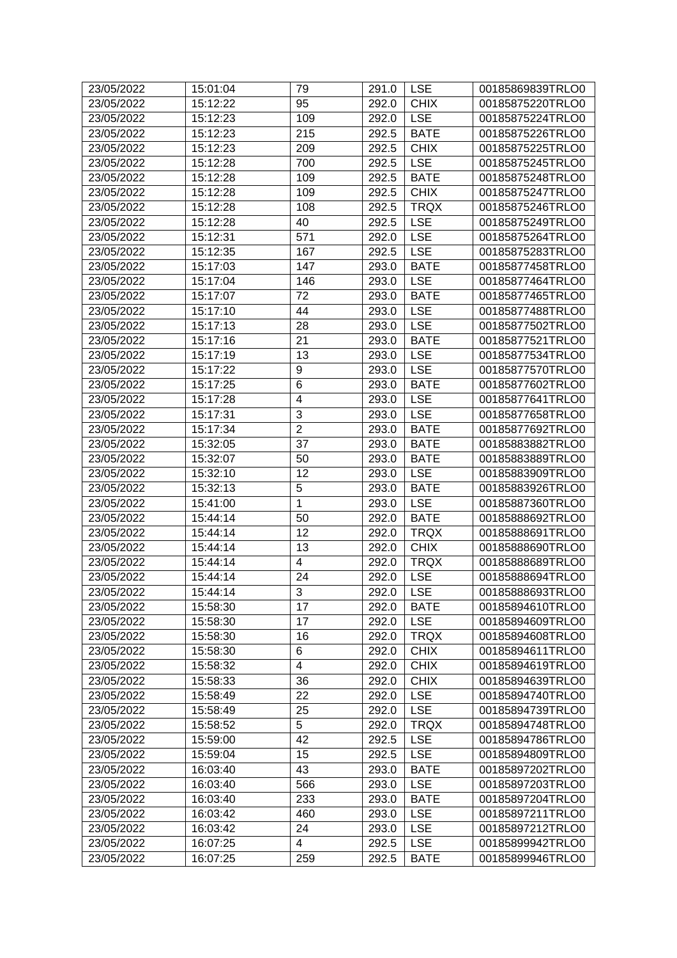| 23/05/2022 | 15:01:04 | 79                      | 291.0     | <b>LSE</b>  | 00185869839TRLO0 |
|------------|----------|-------------------------|-----------|-------------|------------------|
| 23/05/2022 | 15:12:22 | 95                      | 292.0     | <b>CHIX</b> | 00185875220TRLO0 |
| 23/05/2022 | 15:12:23 | 109                     | 292.0     | <b>LSE</b>  | 00185875224TRLO0 |
| 23/05/2022 | 15:12:23 | 215                     | 292.5     | <b>BATE</b> | 00185875226TRLO0 |
| 23/05/2022 | 15:12:23 | 209                     |           | <b>CHIX</b> | 00185875225TRLO0 |
| 23/05/2022 |          |                         | 292.5     |             |                  |
|            | 15:12:28 | 700                     | 292.5     | <b>LSE</b>  | 00185875245TRLO0 |
| 23/05/2022 | 15:12:28 | 109                     | 292.5     | <b>BATE</b> | 00185875248TRLO0 |
| 23/05/2022 | 15:12:28 | 109                     | 292.5     | <b>CHIX</b> | 00185875247TRLO0 |
| 23/05/2022 | 15:12:28 | 108                     | 292.5     | <b>TRQX</b> | 00185875246TRLO0 |
| 23/05/2022 | 15:12:28 | 40                      | 292.5     | <b>LSE</b>  | 00185875249TRLO0 |
| 23/05/2022 | 15:12:31 | 571                     | 292.0     | <b>LSE</b>  | 00185875264TRLO0 |
| 23/05/2022 | 15:12:35 | 167                     | 292.5     | <b>LSE</b>  | 00185875283TRLO0 |
| 23/05/2022 | 15:17:03 | 147                     | 293.0     | <b>BATE</b> | 00185877458TRLO0 |
| 23/05/2022 | 15:17:04 | 146                     | 293.0     | <b>LSE</b>  | 00185877464TRLO0 |
| 23/05/2022 | 15:17:07 | 72                      | 293.0     | <b>BATE</b> | 00185877465TRLO0 |
| 23/05/2022 | 15:17:10 | 44                      | 293.0     | <b>LSE</b>  | 00185877488TRLO0 |
| 23/05/2022 | 15:17:13 | 28                      | 293.0     | <b>LSE</b>  | 00185877502TRLO0 |
| 23/05/2022 | 15:17:16 | 21                      | 293.0     | <b>BATE</b> | 00185877521TRLO0 |
| 23/05/2022 | 15:17:19 | 13                      | 293.0     | <b>LSE</b>  | 00185877534TRLO0 |
| 23/05/2022 | 15:17:22 | 9                       | 293.0     | <b>LSE</b>  | 00185877570TRLO0 |
| 23/05/2022 | 15:17:25 | $6\phantom{1}6$         | 293.0     | <b>BATE</b> | 00185877602TRLO0 |
| 23/05/2022 | 15:17:28 | $\overline{\mathbf{4}}$ | 293.0     | <b>LSE</b>  | 00185877641TRLO0 |
| 23/05/2022 | 15:17:31 | 3                       | 293.0     | <b>LSE</b>  | 00185877658TRLO0 |
| 23/05/2022 | 15:17:34 | $\overline{2}$          | 293.0     | <b>BATE</b> | 00185877692TRLO0 |
| 23/05/2022 | 15:32:05 | 37                      | 293.0     | <b>BATE</b> | 00185883882TRLO0 |
| 23/05/2022 | 15:32:07 | 50                      | 293.0     | <b>BATE</b> | 00185883889TRLO0 |
| 23/05/2022 | 15:32:10 | 12                      | 293.0     | <b>LSE</b>  | 00185883909TRLO0 |
| 23/05/2022 | 15:32:13 | 5                       | 293.0     | <b>BATE</b> | 00185883926TRLO0 |
| 23/05/2022 | 15:41:00 | $\mathbf 1$             | 293.0     | <b>LSE</b>  | 00185887360TRLO0 |
| 23/05/2022 | 15:44:14 | 50                      | 292.0     | <b>BATE</b> | 00185888692TRLO0 |
| 23/05/2022 | 15:44:14 | 12                      | 292.0     | <b>TRQX</b> | 00185888691TRLO0 |
| 23/05/2022 | 15:44:14 | 13                      | 292.0     | <b>CHIX</b> | 00185888690TRLO0 |
| 23/05/2022 | 15:44:14 | $\overline{4}$          | 292.0     | <b>TRQX</b> | 00185888689TRLO0 |
| 23/05/2022 | 15:44:14 | 24                      | 292.0     | <b>LSE</b>  | 00185888694TRLO0 |
| 23/05/2022 | 15:44:14 | $\overline{3}$          | 292.0 LSE |             | 00185888693TRLO0 |
| 23/05/2022 | 15:58:30 | 17                      | 292.0     | <b>BATE</b> | 00185894610TRLO0 |
| 23/05/2022 | 15:58:30 | 17                      | 292.0     | <b>LSE</b>  | 00185894609TRLO0 |
| 23/05/2022 | 15:58:30 | 16                      | 292.0     | <b>TRQX</b> | 00185894608TRLO0 |
| 23/05/2022 | 15:58:30 | 6                       | 292.0     | <b>CHIX</b> | 00185894611TRLO0 |
| 23/05/2022 | 15:58:32 | $\overline{4}$          | 292.0     | <b>CHIX</b> | 00185894619TRLO0 |
| 23/05/2022 | 15:58:33 | 36                      | 292.0     | <b>CHIX</b> | 00185894639TRLO0 |
| 23/05/2022 | 15:58:49 |                         |           |             |                  |
|            |          | 22                      | 292.0     | <b>LSE</b>  | 00185894740TRLO0 |
| 23/05/2022 | 15:58:49 | 25                      | 292.0     | <b>LSE</b>  | 00185894739TRLO0 |
| 23/05/2022 | 15:58:52 | 5                       | 292.0     | <b>TRQX</b> | 00185894748TRLO0 |
| 23/05/2022 | 15:59:00 | 42                      | 292.5     | <b>LSE</b>  | 00185894786TRLO0 |
| 23/05/2022 | 15:59:04 | 15                      | 292.5     | <b>LSE</b>  | 00185894809TRLO0 |
| 23/05/2022 | 16:03:40 | 43                      | 293.0     | <b>BATE</b> | 00185897202TRLO0 |
| 23/05/2022 | 16:03:40 | 566                     | 293.0     | <b>LSE</b>  | 00185897203TRLO0 |
| 23/05/2022 | 16:03:40 | 233                     | 293.0     | <b>BATE</b> | 00185897204TRLO0 |
| 23/05/2022 | 16:03:42 | 460                     | 293.0     | <b>LSE</b>  | 00185897211TRLO0 |
| 23/05/2022 | 16:03:42 | 24                      | 293.0     | <b>LSE</b>  | 00185897212TRLO0 |
| 23/05/2022 | 16:07:25 | $\overline{\mathbf{4}}$ | 292.5     | <b>LSE</b>  | 00185899942TRLO0 |
| 23/05/2022 | 16:07:25 | 259                     | 292.5     | <b>BATE</b> | 00185899946TRLO0 |